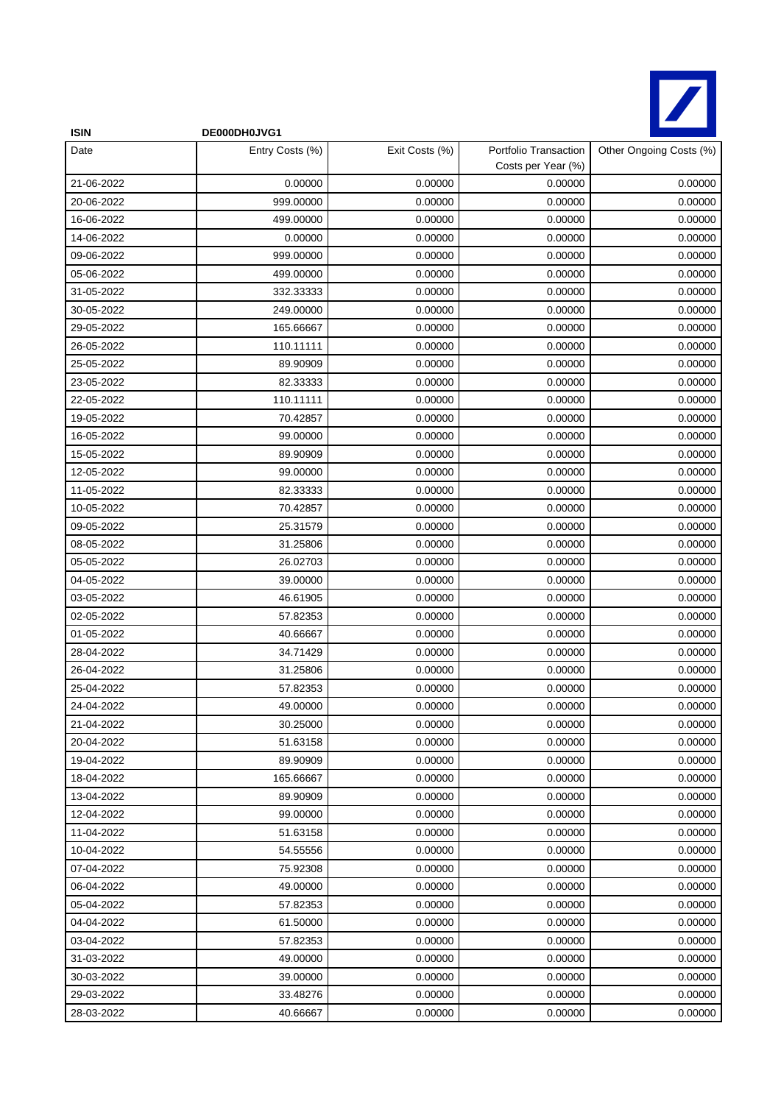

| <b>ISIN</b> | DE000DH0JVG1    |                |                                             |                         |
|-------------|-----------------|----------------|---------------------------------------------|-------------------------|
| Date        | Entry Costs (%) | Exit Costs (%) | Portfolio Transaction<br>Costs per Year (%) | Other Ongoing Costs (%) |
| 21-06-2022  | 0.00000         | 0.00000        | 0.00000                                     | 0.00000                 |
| 20-06-2022  | 999.00000       | 0.00000        | 0.00000                                     | 0.00000                 |
| 16-06-2022  | 499.00000       | 0.00000        | 0.00000                                     | 0.00000                 |
| 14-06-2022  | 0.00000         | 0.00000        | 0.00000                                     | 0.00000                 |
| 09-06-2022  | 999.00000       | 0.00000        | 0.00000                                     | 0.00000                 |
| 05-06-2022  | 499.00000       | 0.00000        | 0.00000                                     | 0.00000                 |
| 31-05-2022  | 332.33333       | 0.00000        | 0.00000                                     | 0.00000                 |
| 30-05-2022  | 249.00000       | 0.00000        | 0.00000                                     | 0.00000                 |
| 29-05-2022  | 165.66667       | 0.00000        | 0.00000                                     | 0.00000                 |
| 26-05-2022  | 110.11111       | 0.00000        | 0.00000                                     | 0.00000                 |
| 25-05-2022  | 89.90909        | 0.00000        | 0.00000                                     | 0.00000                 |
| 23-05-2022  | 82.33333        | 0.00000        | 0.00000                                     | 0.00000                 |
| 22-05-2022  | 110.11111       | 0.00000        | 0.00000                                     | 0.00000                 |
| 19-05-2022  | 70.42857        | 0.00000        | 0.00000                                     | 0.00000                 |
| 16-05-2022  | 99.00000        | 0.00000        | 0.00000                                     | 0.00000                 |
| 15-05-2022  | 89.90909        | 0.00000        | 0.00000                                     | 0.00000                 |
| 12-05-2022  | 99.00000        | 0.00000        | 0.00000                                     | 0.00000                 |
| 11-05-2022  | 82.33333        | 0.00000        | 0.00000                                     | 0.00000                 |
| 10-05-2022  | 70.42857        | 0.00000        | 0.00000                                     | 0.00000                 |
| 09-05-2022  | 25.31579        | 0.00000        | 0.00000                                     | 0.00000                 |
| 08-05-2022  | 31.25806        | 0.00000        | 0.00000                                     | 0.00000                 |
| 05-05-2022  | 26.02703        | 0.00000        | 0.00000                                     | 0.00000                 |
| 04-05-2022  | 39.00000        | 0.00000        | 0.00000                                     | 0.00000                 |
| 03-05-2022  | 46.61905        | 0.00000        | 0.00000                                     | 0.00000                 |
| 02-05-2022  | 57.82353        | 0.00000        | 0.00000                                     | 0.00000                 |
| 01-05-2022  | 40.66667        | 0.00000        | 0.00000                                     | 0.00000                 |
| 28-04-2022  | 34.71429        | 0.00000        | 0.00000                                     | 0.00000                 |
| 26-04-2022  | 31.25806        | 0.00000        | 0.00000                                     | 0.00000                 |
| 25-04-2022  | 57.82353        | 0.00000        | 0.00000                                     | 0.00000                 |
| 24-04-2022  | 49.00000        | 0.00000        | 0.00000                                     | 0.00000                 |
| 21-04-2022  | 30.25000        | 0.00000        | 0.00000                                     | 0.00000                 |
| 20-04-2022  | 51.63158        | 0.00000        | 0.00000                                     | 0.00000                 |
| 19-04-2022  | 89.90909        | 0.00000        | 0.00000                                     | 0.00000                 |
| 18-04-2022  | 165.66667       | 0.00000        | 0.00000                                     | 0.00000                 |
| 13-04-2022  | 89.90909        | 0.00000        | 0.00000                                     | 0.00000                 |
| 12-04-2022  | 99.00000        | 0.00000        | 0.00000                                     | 0.00000                 |
| 11-04-2022  | 51.63158        | 0.00000        | 0.00000                                     | 0.00000                 |
| 10-04-2022  | 54.55556        | 0.00000        | 0.00000                                     | 0.00000                 |
| 07-04-2022  | 75.92308        | 0.00000        | 0.00000                                     | 0.00000                 |
| 06-04-2022  | 49.00000        | 0.00000        | 0.00000                                     | 0.00000                 |
| 05-04-2022  | 57.82353        | 0.00000        | 0.00000                                     | 0.00000                 |
| 04-04-2022  | 61.50000        | 0.00000        | 0.00000                                     | 0.00000                 |
| 03-04-2022  | 57.82353        | 0.00000        | 0.00000                                     | 0.00000                 |
| 31-03-2022  | 49.00000        | 0.00000        | 0.00000                                     | 0.00000                 |
| 30-03-2022  | 39.00000        | 0.00000        | 0.00000                                     | 0.00000                 |
| 29-03-2022  | 33.48276        | 0.00000        | 0.00000                                     | 0.00000                 |
| 28-03-2022  | 40.66667        | 0.00000        | 0.00000                                     | 0.00000                 |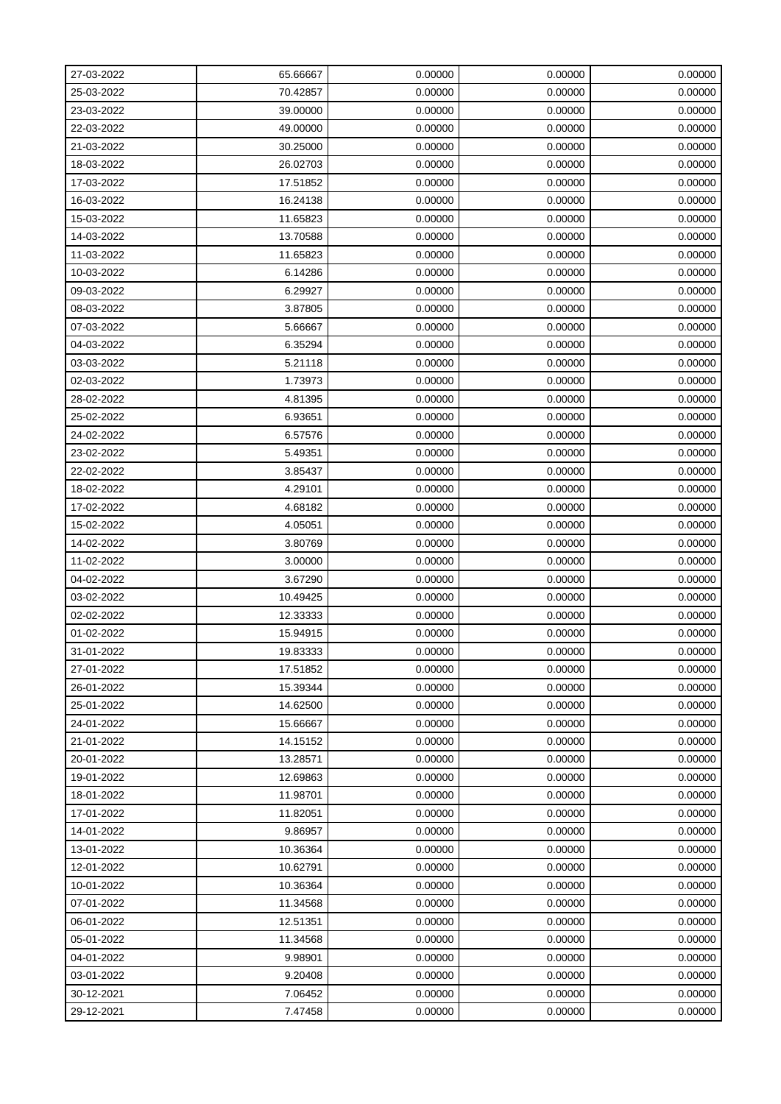| 27-03-2022 | 65.66667 | 0.00000 | 0.00000 | 0.00000 |
|------------|----------|---------|---------|---------|
| 25-03-2022 | 70.42857 | 0.00000 | 0.00000 | 0.00000 |
| 23-03-2022 | 39.00000 | 0.00000 | 0.00000 | 0.00000 |
| 22-03-2022 | 49.00000 | 0.00000 | 0.00000 | 0.00000 |
| 21-03-2022 | 30.25000 | 0.00000 | 0.00000 | 0.00000 |
| 18-03-2022 | 26.02703 | 0.00000 | 0.00000 | 0.00000 |
| 17-03-2022 | 17.51852 | 0.00000 | 0.00000 | 0.00000 |
| 16-03-2022 | 16.24138 | 0.00000 | 0.00000 | 0.00000 |
| 15-03-2022 | 11.65823 | 0.00000 | 0.00000 | 0.00000 |
| 14-03-2022 | 13.70588 | 0.00000 | 0.00000 | 0.00000 |
| 11-03-2022 | 11.65823 | 0.00000 | 0.00000 | 0.00000 |
| 10-03-2022 | 6.14286  | 0.00000 | 0.00000 | 0.00000 |
| 09-03-2022 | 6.29927  | 0.00000 | 0.00000 | 0.00000 |
| 08-03-2022 | 3.87805  | 0.00000 | 0.00000 | 0.00000 |
| 07-03-2022 | 5.66667  | 0.00000 | 0.00000 | 0.00000 |
| 04-03-2022 | 6.35294  | 0.00000 | 0.00000 | 0.00000 |
| 03-03-2022 | 5.21118  | 0.00000 | 0.00000 | 0.00000 |
| 02-03-2022 | 1.73973  | 0.00000 | 0.00000 | 0.00000 |
| 28-02-2022 | 4.81395  | 0.00000 | 0.00000 | 0.00000 |
| 25-02-2022 | 6.93651  | 0.00000 | 0.00000 | 0.00000 |
| 24-02-2022 | 6.57576  | 0.00000 | 0.00000 | 0.00000 |
| 23-02-2022 | 5.49351  | 0.00000 | 0.00000 | 0.00000 |
| 22-02-2022 | 3.85437  | 0.00000 | 0.00000 | 0.00000 |
| 18-02-2022 | 4.29101  | 0.00000 | 0.00000 | 0.00000 |
| 17-02-2022 | 4.68182  | 0.00000 | 0.00000 | 0.00000 |
| 15-02-2022 | 4.05051  | 0.00000 | 0.00000 | 0.00000 |
| 14-02-2022 | 3.80769  | 0.00000 | 0.00000 | 0.00000 |
| 11-02-2022 | 3.00000  | 0.00000 | 0.00000 | 0.00000 |
| 04-02-2022 | 3.67290  | 0.00000 | 0.00000 | 0.00000 |
| 03-02-2022 | 10.49425 | 0.00000 | 0.00000 | 0.00000 |
| 02-02-2022 | 12.33333 | 0.00000 | 0.00000 | 0.00000 |
| 01-02-2022 | 15.94915 | 0.00000 | 0.00000 | 0.00000 |
| 31-01-2022 | 19.83333 | 0.00000 | 0.00000 | 0.00000 |
| 27-01-2022 | 17.51852 | 0.00000 | 0.00000 | 0.00000 |
| 26-01-2022 | 15.39344 | 0.00000 | 0.00000 | 0.00000 |
| 25-01-2022 | 14.62500 | 0.00000 | 0.00000 | 0.00000 |
| 24-01-2022 | 15.66667 | 0.00000 | 0.00000 | 0.00000 |
| 21-01-2022 | 14.15152 | 0.00000 | 0.00000 | 0.00000 |
| 20-01-2022 | 13.28571 | 0.00000 | 0.00000 | 0.00000 |
| 19-01-2022 | 12.69863 | 0.00000 | 0.00000 | 0.00000 |
| 18-01-2022 | 11.98701 | 0.00000 | 0.00000 | 0.00000 |
| 17-01-2022 | 11.82051 | 0.00000 | 0.00000 | 0.00000 |
| 14-01-2022 | 9.86957  | 0.00000 | 0.00000 | 0.00000 |
| 13-01-2022 | 10.36364 | 0.00000 | 0.00000 | 0.00000 |
| 12-01-2022 | 10.62791 | 0.00000 | 0.00000 | 0.00000 |
| 10-01-2022 | 10.36364 | 0.00000 | 0.00000 | 0.00000 |
| 07-01-2022 | 11.34568 | 0.00000 | 0.00000 | 0.00000 |
| 06-01-2022 | 12.51351 | 0.00000 | 0.00000 | 0.00000 |
| 05-01-2022 | 11.34568 | 0.00000 | 0.00000 | 0.00000 |
| 04-01-2022 | 9.98901  | 0.00000 | 0.00000 | 0.00000 |
| 03-01-2022 | 9.20408  | 0.00000 | 0.00000 | 0.00000 |
| 30-12-2021 | 7.06452  | 0.00000 | 0.00000 | 0.00000 |
| 29-12-2021 | 7.47458  | 0.00000 | 0.00000 | 0.00000 |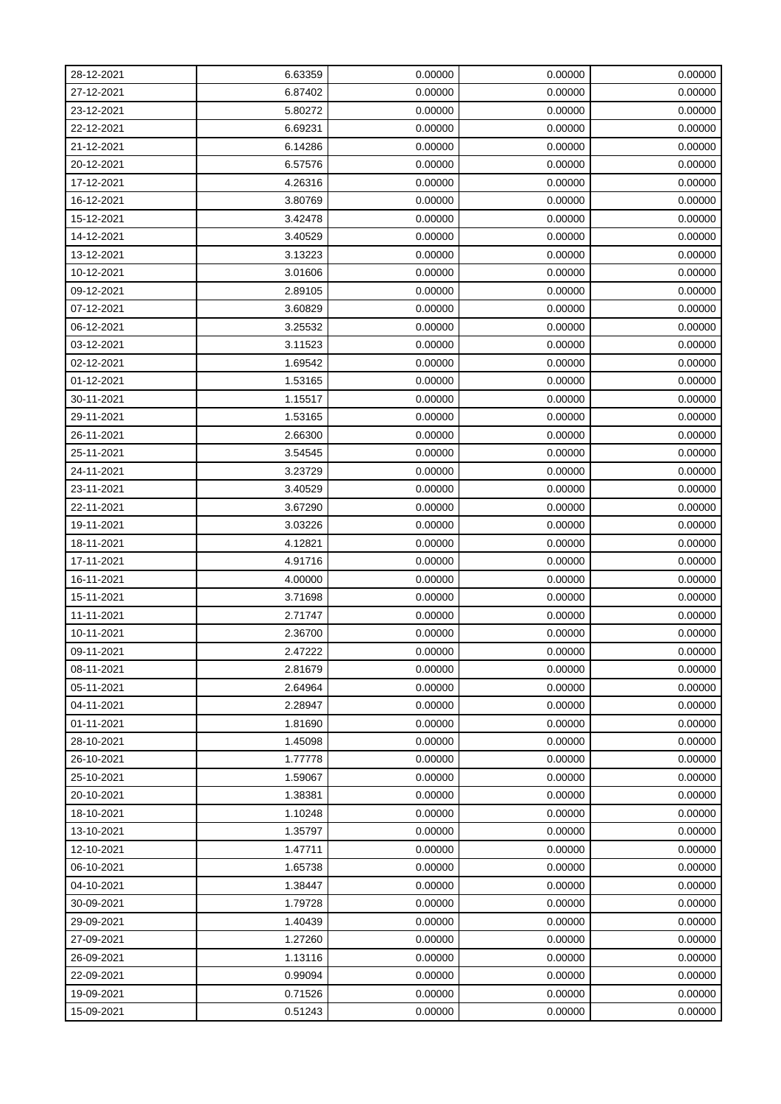| 28-12-2021 | 6.63359 | 0.00000 | 0.00000 | 0.00000 |
|------------|---------|---------|---------|---------|
| 27-12-2021 | 6.87402 | 0.00000 | 0.00000 | 0.00000 |
| 23-12-2021 | 5.80272 | 0.00000 | 0.00000 | 0.00000 |
| 22-12-2021 | 6.69231 | 0.00000 | 0.00000 | 0.00000 |
| 21-12-2021 | 6.14286 | 0.00000 | 0.00000 | 0.00000 |
| 20-12-2021 | 6.57576 | 0.00000 | 0.00000 | 0.00000 |
| 17-12-2021 | 4.26316 | 0.00000 | 0.00000 | 0.00000 |
| 16-12-2021 | 3.80769 | 0.00000 | 0.00000 | 0.00000 |
| 15-12-2021 | 3.42478 | 0.00000 | 0.00000 | 0.00000 |
| 14-12-2021 | 3.40529 | 0.00000 | 0.00000 | 0.00000 |
| 13-12-2021 | 3.13223 | 0.00000 | 0.00000 | 0.00000 |
| 10-12-2021 | 3.01606 | 0.00000 | 0.00000 | 0.00000 |
| 09-12-2021 | 2.89105 | 0.00000 | 0.00000 | 0.00000 |
| 07-12-2021 | 3.60829 | 0.00000 | 0.00000 | 0.00000 |
| 06-12-2021 | 3.25532 | 0.00000 | 0.00000 | 0.00000 |
| 03-12-2021 | 3.11523 | 0.00000 | 0.00000 | 0.00000 |
| 02-12-2021 | 1.69542 | 0.00000 | 0.00000 | 0.00000 |
| 01-12-2021 | 1.53165 | 0.00000 | 0.00000 | 0.00000 |
| 30-11-2021 | 1.15517 | 0.00000 | 0.00000 | 0.00000 |
| 29-11-2021 | 1.53165 | 0.00000 | 0.00000 | 0.00000 |
| 26-11-2021 | 2.66300 | 0.00000 | 0.00000 | 0.00000 |
| 25-11-2021 | 3.54545 | 0.00000 | 0.00000 | 0.00000 |
| 24-11-2021 | 3.23729 | 0.00000 | 0.00000 | 0.00000 |
| 23-11-2021 | 3.40529 | 0.00000 | 0.00000 | 0.00000 |
| 22-11-2021 | 3.67290 | 0.00000 | 0.00000 | 0.00000 |
| 19-11-2021 | 3.03226 | 0.00000 | 0.00000 | 0.00000 |
| 18-11-2021 | 4.12821 | 0.00000 | 0.00000 | 0.00000 |
| 17-11-2021 | 4.91716 | 0.00000 | 0.00000 | 0.00000 |
| 16-11-2021 | 4.00000 | 0.00000 | 0.00000 | 0.00000 |
| 15-11-2021 | 3.71698 | 0.00000 | 0.00000 | 0.00000 |
| 11-11-2021 | 2.71747 | 0.00000 | 0.00000 | 0.00000 |
| 10-11-2021 | 2.36700 | 0.00000 | 0.00000 | 0.00000 |
| 09-11-2021 | 2.47222 | 0.00000 | 0.00000 | 0.00000 |
| 08-11-2021 | 2.81679 | 0.00000 | 0.00000 | 0.00000 |
| 05-11-2021 | 2.64964 | 0.00000 | 0.00000 | 0.00000 |
| 04-11-2021 | 2.28947 | 0.00000 | 0.00000 | 0.00000 |
| 01-11-2021 | 1.81690 | 0.00000 | 0.00000 | 0.00000 |
| 28-10-2021 | 1.45098 | 0.00000 | 0.00000 | 0.00000 |
| 26-10-2021 | 1.77778 | 0.00000 | 0.00000 | 0.00000 |
| 25-10-2021 | 1.59067 | 0.00000 | 0.00000 | 0.00000 |
| 20-10-2021 | 1.38381 | 0.00000 | 0.00000 | 0.00000 |
| 18-10-2021 | 1.10248 | 0.00000 | 0.00000 | 0.00000 |
| 13-10-2021 | 1.35797 | 0.00000 | 0.00000 | 0.00000 |
| 12-10-2021 | 1.47711 | 0.00000 | 0.00000 | 0.00000 |
| 06-10-2021 | 1.65738 | 0.00000 | 0.00000 | 0.00000 |
| 04-10-2021 | 1.38447 | 0.00000 | 0.00000 | 0.00000 |
| 30-09-2021 | 1.79728 | 0.00000 | 0.00000 | 0.00000 |
| 29-09-2021 | 1.40439 | 0.00000 | 0.00000 | 0.00000 |
| 27-09-2021 | 1.27260 | 0.00000 | 0.00000 | 0.00000 |
| 26-09-2021 | 1.13116 | 0.00000 | 0.00000 | 0.00000 |
| 22-09-2021 | 0.99094 | 0.00000 | 0.00000 | 0.00000 |
| 19-09-2021 | 0.71526 | 0.00000 | 0.00000 | 0.00000 |
| 15-09-2021 | 0.51243 | 0.00000 | 0.00000 | 0.00000 |